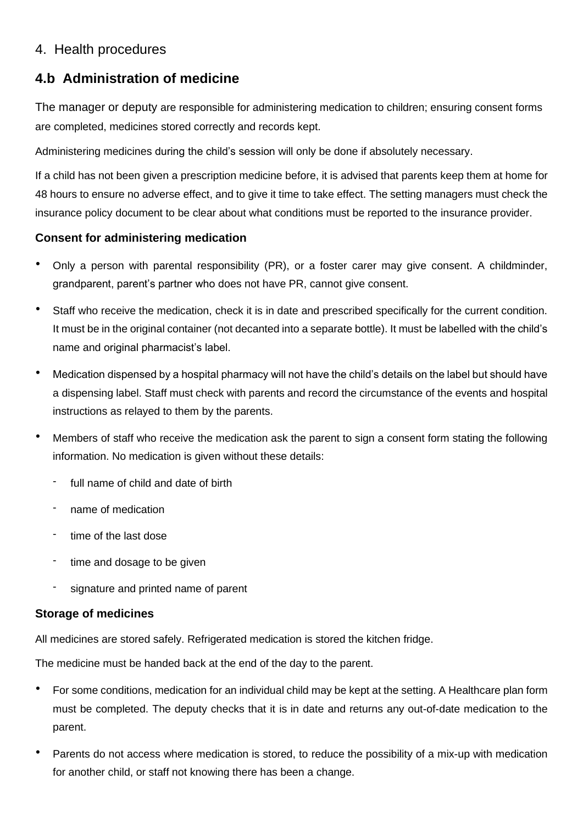## 4. Health procedures

# **4.b Administration of medicine**

The manager or deputy are responsible for administering medication to children; ensuring consent forms are completed, medicines stored correctly and records kept.

Administering medicines during the child's session will only be done if absolutely necessary.

If a child has not been given a prescription medicine before, it is advised that parents keep them at home for 48 hours to ensure no adverse effect, and to give it time to take effect. The setting managers must check the insurance policy document to be clear about what conditions must be reported to the insurance provider.

## **Consent for administering medication**

- Only a person with parental responsibility (PR), or a foster carer may give consent. A childminder, grandparent, parent's partner who does not have PR, cannot give consent.
- Staff who receive the medication, check it is in date and prescribed specifically for the current condition. It must be in the original container (not decanted into a separate bottle). It must be labelled with the child's name and original pharmacist's label.
- Medication dispensed by a hospital pharmacy will not have the child's details on the label but should have a dispensing label. Staff must check with parents and record the circumstance of the events and hospital instructions as relayed to them by the parents.
- Members of staff who receive the medication ask the parent to sign a consent form stating the following information. No medication is given without these details:
	- full name of child and date of birth
	- name of medication
	- time of the last dose
	- time and dosage to be given
	- signature and printed name of parent

#### **Storage of medicines**

All medicines are stored safely. Refrigerated medication is stored the kitchen fridge.

The medicine must be handed back at the end of the day to the parent.

- For some conditions, medication for an individual child may be kept at the setting. A Healthcare plan form must be completed. The deputy checks that it is in date and returns any out-of-date medication to the parent.
- Parents do not access where medication is stored, to reduce the possibility of a mix-up with medication for another child, or staff not knowing there has been a change.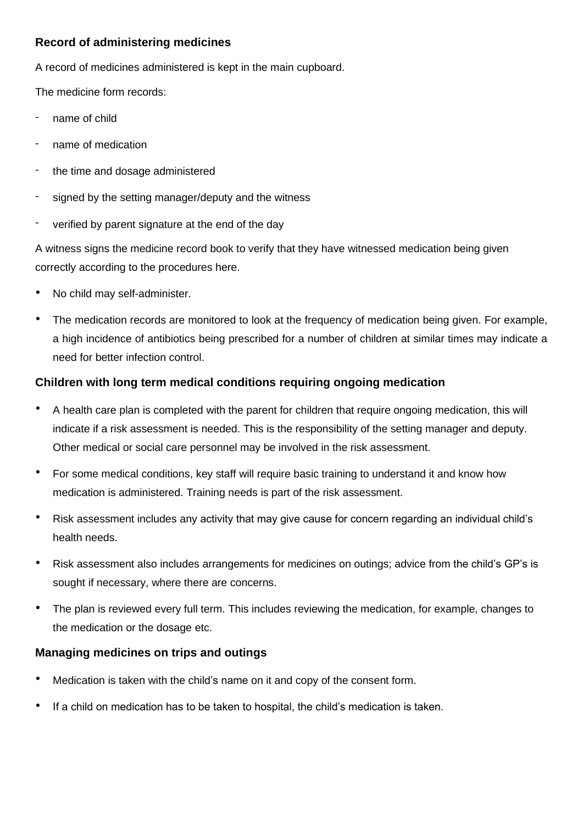## **Record of administering medicines**

A record of medicines administered is kept in the main cupboard.

The medicine form records:

- name of child
- name of medication
- the time and dosage administered
- signed by the setting manager/deputy and the witness
- verified by parent signature at the end of the day

A witness signs the medicine record book to verify that they have witnessed medication being given correctly according to the procedures here.

- No child may self-administer.
- The medication records are monitored to look at the frequency of medication being given. For example, a high incidence of antibiotics being prescribed for a number of children at similar times may indicate a need for better infection control.

#### **Children with long term medical conditions requiring ongoing medication**

- A health care plan is completed with the parent for children that require ongoing medication, this will indicate if a risk assessment is needed. This is the responsibility of the setting manager and deputy. Other medical or social care personnel may be involved in the risk assessment.
- For some medical conditions, key staff will require basic training to understand it and know how medication is administered. Training needs is part of the risk assessment.
- Risk assessment includes any activity that may give cause for concern regarding an individual child's health needs.
- Risk assessment also includes arrangements for medicines on outings; advice from the child's GP's is sought if necessary, where there are concerns.
- The plan is reviewed every full term. This includes reviewing the medication, for example, changes to the medication or the dosage etc.

#### **Managing medicines on trips and outings**

- Medication is taken with the child's name on it and copy of the consent form.
- If a child on medication has to be taken to hospital, the child's medication is taken.